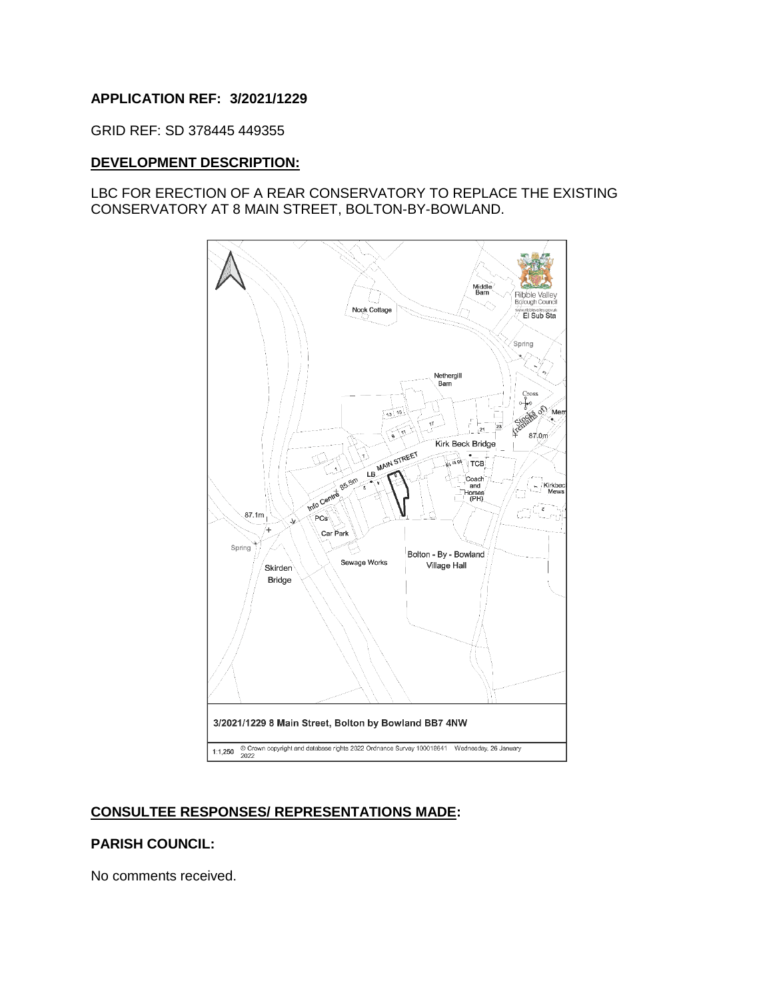### **APPLICATION REF: 3/2021/1229**

GRID REF: SD 378445 449355

#### **DEVELOPMENT DESCRIPTION:**

### LBC FOR ERECTION OF A REAR CONSERVATORY TO REPLACE THE EXISTING CONSERVATORY AT 8 MAIN STREET, BOLTON-BY-BOWLAND.



## **CONSULTEE RESPONSES/ REPRESENTATIONS MADE:**

#### **PARISH COUNCIL:**

No comments received.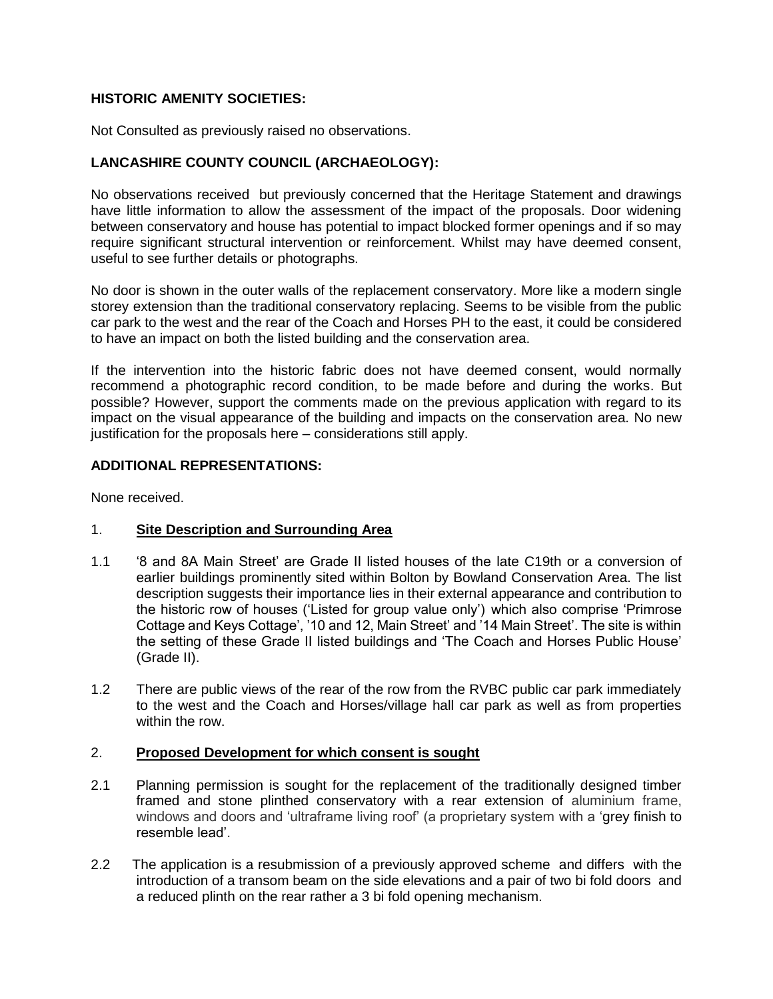# **HISTORIC AMENITY SOCIETIES:**

Not Consulted as previously raised no observations.

## **LANCASHIRE COUNTY COUNCIL (ARCHAEOLOGY):**

No observations received but previously concerned that the Heritage Statement and drawings have little information to allow the assessment of the impact of the proposals. Door widening between conservatory and house has potential to impact blocked former openings and if so may require significant structural intervention or reinforcement. Whilst may have deemed consent, useful to see further details or photographs.

No door is shown in the outer walls of the replacement conservatory. More like a modern single storey extension than the traditional conservatory replacing. Seems to be visible from the public car park to the west and the rear of the Coach and Horses PH to the east, it could be considered to have an impact on both the listed building and the conservation area.

If the intervention into the historic fabric does not have deemed consent, would normally recommend a photographic record condition, to be made before and during the works. But possible? However, support the comments made on the previous application with regard to its impact on the visual appearance of the building and impacts on the conservation area. No new justification for the proposals here – considerations still apply.

### **ADDITIONAL REPRESENTATIONS:**

None received.

### 1. **Site Description and Surrounding Area**

- 1.1 '8 and 8A Main Street' are Grade II listed houses of the late C19th or a conversion of earlier buildings prominently sited within Bolton by Bowland Conservation Area. The list description suggests their importance lies in their external appearance and contribution to the historic row of houses ('Listed for group value only') which also comprise 'Primrose Cottage and Keys Cottage', '10 and 12, Main Street' and '14 Main Street'. The site is within the setting of these Grade II listed buildings and 'The Coach and Horses Public House' (Grade II).
- 1.2 There are public views of the rear of the row from the RVBC public car park immediately to the west and the Coach and Horses/village hall car park as well as from properties within the row.

#### 2. **Proposed Development for which consent is sought**

- 2.1 Planning permission is sought for the replacement of the traditionally designed timber framed and stone plinthed conservatory with a rear extension of aluminium frame, windows and doors and 'ultraframe living roof' (a proprietary system with a 'grey finish to resemble lead'.
- 2.2 The application is a resubmission of a previously approved scheme and differs with the introduction of a transom beam on the side elevations and a pair of two bi fold doors and a reduced plinth on the rear rather a 3 bi fold opening mechanism.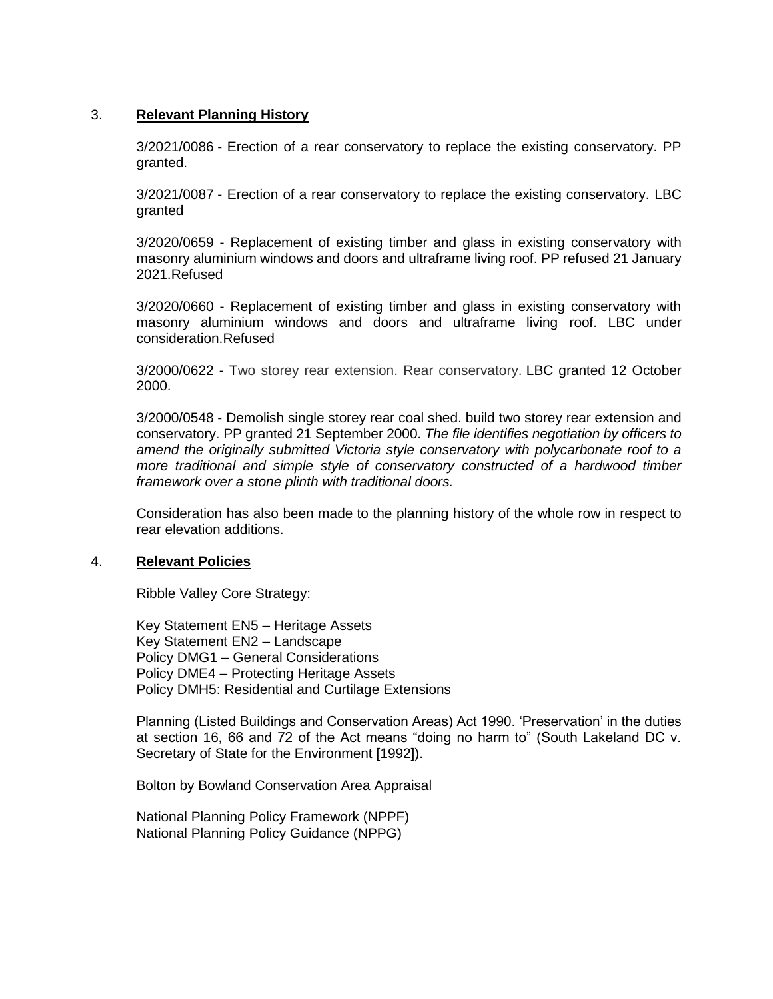#### 3. **Relevant Planning History**

3/2021/0086 - Erection of a rear conservatory to replace the existing conservatory. PP granted.

3/2021/0087 - Erection of a rear conservatory to replace the existing conservatory. LBC granted

3/2020/0659 - Replacement of existing timber and glass in existing conservatory with masonry aluminium windows and doors and ultraframe living roof. PP refused 21 January 2021.Refused

3/2020/0660 - Replacement of existing timber and glass in existing conservatory with masonry aluminium windows and doors and ultraframe living roof. LBC under consideration.Refused

3/2000/0622 - Two storey rear extension. Rear conservatory. LBC granted 12 October 2000.

3/2000/0548 - Demolish single storey rear coal shed. build two storey rear extension and conservatory. PP granted 21 September 2000. *The file identifies negotiation by officers to amend the originally submitted Victoria style conservatory with polycarbonate roof to a more traditional and simple style of conservatory constructed of a hardwood timber framework over a stone plinth with traditional doors.*

Consideration has also been made to the planning history of the whole row in respect to rear elevation additions.

#### 4. **Relevant Policies**

Ribble Valley Core Strategy:

Key Statement EN5 – Heritage Assets Key Statement EN2 – Landscape Policy DMG1 – General Considerations Policy DME4 – Protecting Heritage Assets Policy DMH5: Residential and Curtilage Extensions

Planning (Listed Buildings and Conservation Areas) Act 1990. 'Preservation' in the duties at section 16, 66 and 72 of the Act means "doing no harm to" (South Lakeland DC v. Secretary of State for the Environment [1992]).

Bolton by Bowland Conservation Area Appraisal

National Planning Policy Framework (NPPF) National Planning Policy Guidance (NPPG)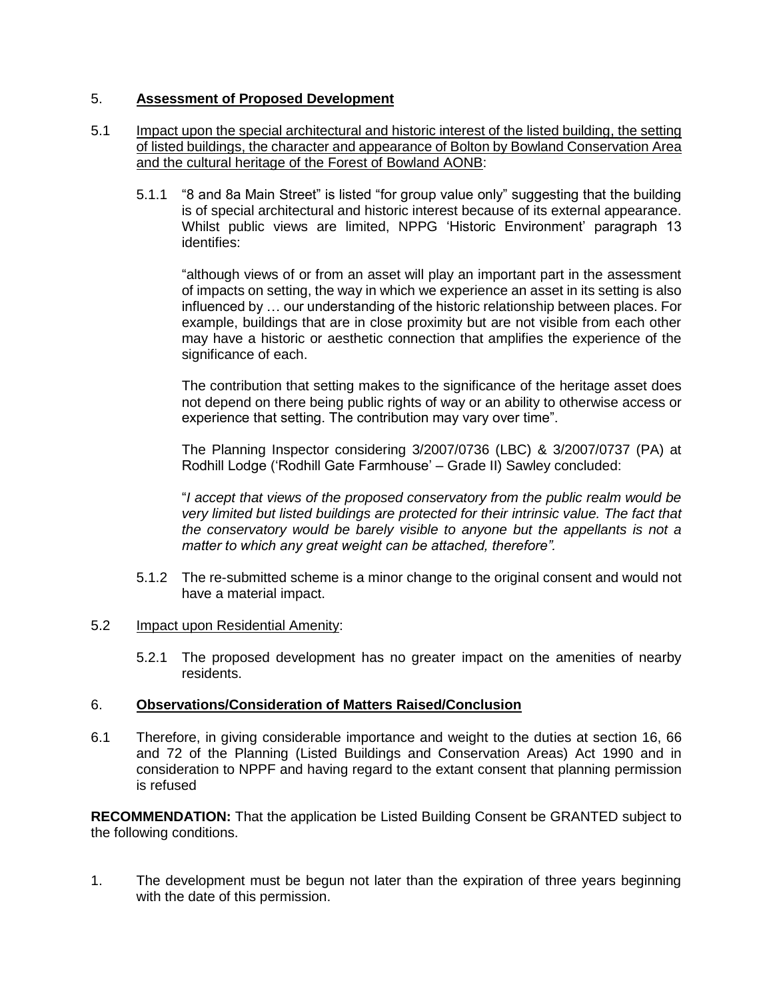# 5. **Assessment of Proposed Development**

## 5.1 Impact upon the special architectural and historic interest of the listed building, the setting of listed buildings, the character and appearance of Bolton by Bowland Conservation Area and the cultural heritage of the Forest of Bowland AONB:

5.1.1 "8 and 8a Main Street" is listed "for group value only" suggesting that the building is of special architectural and historic interest because of its external appearance. Whilst public views are limited, NPPG 'Historic Environment' paragraph 13 identifies:

"although views of or from an asset will play an important part in the assessment of impacts on setting, the way in which we experience an asset in its setting is also influenced by … our understanding of the historic relationship between places. For example, buildings that are in close proximity but are not visible from each other may have a historic or aesthetic connection that amplifies the experience of the significance of each.

The contribution that setting makes to the significance of the heritage asset does not depend on there being public rights of way or an ability to otherwise access or experience that setting. The contribution may vary over time".

The Planning Inspector considering 3/2007/0736 (LBC) & 3/2007/0737 (PA) at Rodhill Lodge ('Rodhill Gate Farmhouse' – Grade II) Sawley concluded:

"*I accept that views of the proposed conservatory from the public realm would be very limited but listed buildings are protected for their intrinsic value. The fact that the conservatory would be barely visible to anyone but the appellants is not a matter to which any great weight can be attached, therefore".*

- 5.1.2 The re-submitted scheme is a minor change to the original consent and would not have a material impact.
- 5.2 Impact upon Residential Amenity:
	- 5.2.1 The proposed development has no greater impact on the amenities of nearby residents.

### 6. **Observations/Consideration of Matters Raised/Conclusion**

6.1 Therefore, in giving considerable importance and weight to the duties at section 16, 66 and 72 of the Planning (Listed Buildings and Conservation Areas) Act 1990 and in consideration to NPPF and having regard to the extant consent that planning permission is refused

**RECOMMENDATION:** That the application be Listed Building Consent be GRANTED subject to the following conditions.

1. The development must be begun not later than the expiration of three years beginning with the date of this permission.